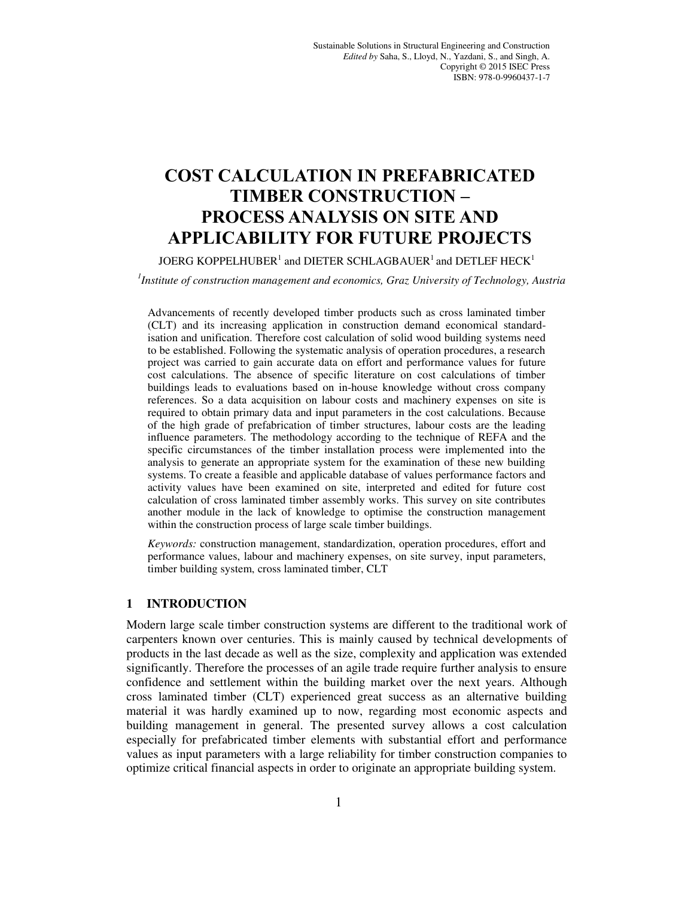# **COST CALCULATION IN PREFABRICATED TIMBER CONSTRUCTION – PROCESS ANALYSIS ON SITE AND APPLICABILITY FOR FUTURE PROJECTS**

JOERG KOPPELHUBER $^{\rm 1}$  and DIETER SCHLAGBAUER $^{\rm 1}$  and DETLEF HECK $^{\rm 1}$ 

*1 Institute of construction management and economics, Graz University of Technology, Austria* 

Advancements of recently developed timber products such as cross laminated timber (CLT) and its increasing application in construction demand economical standardisation and unification. Therefore cost calculation of solid wood building systems need to be established. Following the systematic analysis of operation procedures, a research project was carried to gain accurate data on effort and performance values for future cost calculations. The absence of specific literature on cost calculations of timber buildings leads to evaluations based on in-house knowledge without cross company references. So a data acquisition on labour costs and machinery expenses on site is required to obtain primary data and input parameters in the cost calculations. Because of the high grade of prefabrication of timber structures, labour costs are the leading influence parameters. The methodology according to the technique of REFA and the specific circumstances of the timber installation process were implemented into the analysis to generate an appropriate system for the examination of these new building systems. To create a feasible and applicable database of values performance factors and activity values have been examined on site, interpreted and edited for future cost calculation of cross laminated timber assembly works. This survey on site contributes another module in the lack of knowledge to optimise the construction management within the construction process of large scale timber buildings.

*Keywords:* construction management, standardization, operation procedures, effort and performance values, labour and machinery expenses, on site survey, input parameters, timber building system, cross laminated timber, CLT

#### **1 INTRODUCTION**

Modern large scale timber construction systems are different to the traditional work of carpenters known over centuries. This is mainly caused by technical developments of products in the last decade as well as the size, complexity and application was extended significantly. Therefore the processes of an agile trade require further analysis to ensure confidence and settlement within the building market over the next years. Although cross laminated timber (CLT) experienced great success as an alternative building material it was hardly examined up to now, regarding most economic aspects and building management in general. The presented survey allows a cost calculation especially for prefabricated timber elements with substantial effort and performance values as input parameters with a large reliability for timber construction companies to optimize critical financial aspects in order to originate an appropriate building system.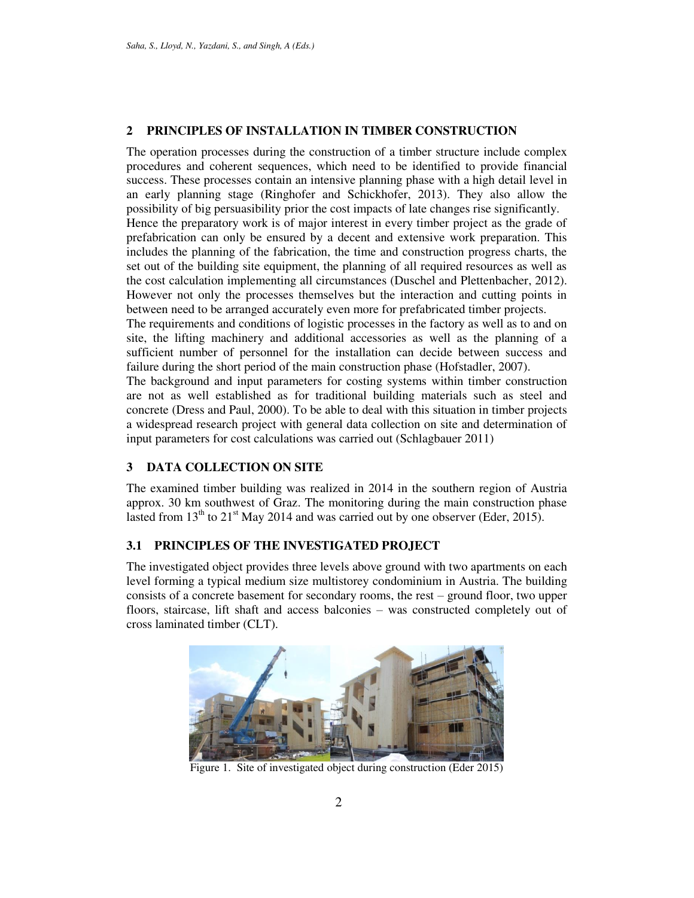# **2 PRINCIPLES OF INSTALLATION IN TIMBER CONSTRUCTION**

The operation processes during the construction of a timber structure include complex procedures and coherent sequences, which need to be identified to provide financial success. These processes contain an intensive planning phase with a high detail level in an early planning stage (Ringhofer and Schickhofer, 2013). They also allow the possibility of big persuasibility prior the cost impacts of late changes rise significantly. Hence the preparatory work is of major interest in every timber project as the grade of prefabrication can only be ensured by a decent and extensive work preparation. This includes the planning of the fabrication, the time and construction progress charts, the set out of the building site equipment, the planning of all required resources as well as the cost calculation implementing all circumstances (Duschel and Plettenbacher, 2012). However not only the processes themselves but the interaction and cutting points in between need to be arranged accurately even more for prefabricated timber projects.

The requirements and conditions of logistic processes in the factory as well as to and on site, the lifting machinery and additional accessories as well as the planning of a sufficient number of personnel for the installation can decide between success and failure during the short period of the main construction phase (Hofstadler, 2007).

The background and input parameters for costing systems within timber construction are not as well established as for traditional building materials such as steel and concrete (Dress and Paul, 2000). To be able to deal with this situation in timber projects a widespread research project with general data collection on site and determination of input parameters for cost calculations was carried out (Schlagbauer 2011)

# **3 DATA COLLECTION ON SITE**

The examined timber building was realized in 2014 in the southern region of Austria approx. 30 km southwest of Graz. The monitoring during the main construction phase lasted from  $13<sup>th</sup>$  to  $21<sup>st</sup>$  May 2014 and was carried out by one observer (Eder, 2015).

# **3.1 PRINCIPLES OF THE INVESTIGATED PROJECT**

The investigated object provides three levels above ground with two apartments on each level forming a typical medium size multistorey condominium in Austria. The building consists of a concrete basement for secondary rooms, the rest – ground floor, two upper floors, staircase, lift shaft and access balconies – was constructed completely out of cross laminated timber (CLT).



Figure 1. Site of investigated object during construction (Eder 2015)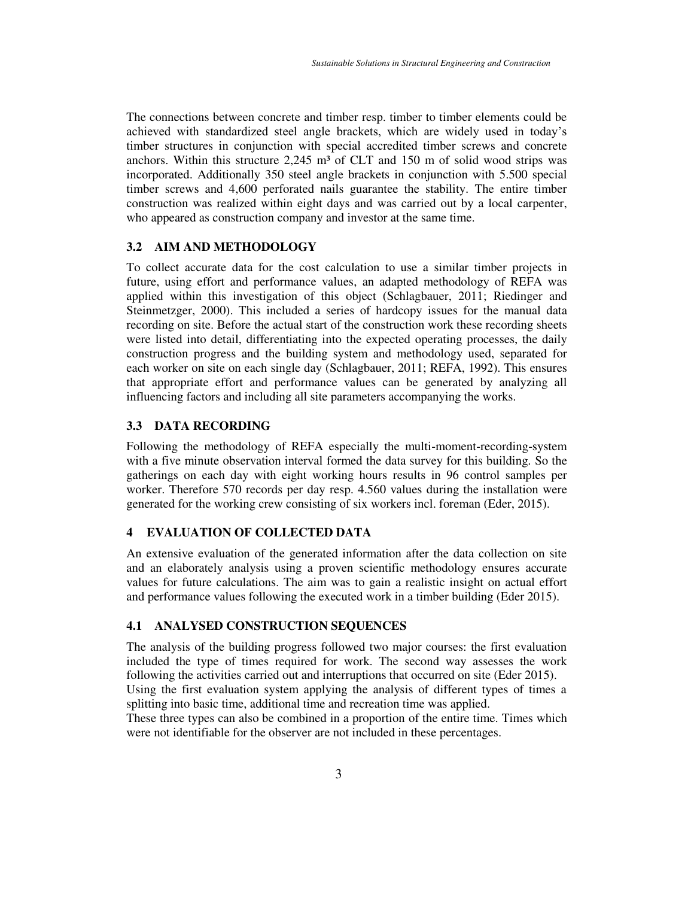The connections between concrete and timber resp. timber to timber elements could be achieved with standardized steel angle brackets, which are widely used in today's timber structures in conjunction with special accredited timber screws and concrete anchors. Within this structure  $2,245$  m<sup>3</sup> of CLT and 150 m of solid wood strips was incorporated. Additionally 350 steel angle brackets in conjunction with 5.500 special timber screws and 4,600 perforated nails guarantee the stability. The entire timber construction was realized within eight days and was carried out by a local carpenter, who appeared as construction company and investor at the same time.

## **3.2 AIM AND METHODOLOGY**

To collect accurate data for the cost calculation to use a similar timber projects in future, using effort and performance values, an adapted methodology of REFA was applied within this investigation of this object (Schlagbauer, 2011; Riedinger and Steinmetzger, 2000). This included a series of hardcopy issues for the manual data recording on site. Before the actual start of the construction work these recording sheets were listed into detail, differentiating into the expected operating processes, the daily construction progress and the building system and methodology used, separated for each worker on site on each single day (Schlagbauer, 2011; REFA, 1992). This ensures that appropriate effort and performance values can be generated by analyzing all influencing factors and including all site parameters accompanying the works.

# **3.3 DATA RECORDING**

Following the methodology of REFA especially the multi-moment-recording-system with a five minute observation interval formed the data survey for this building. So the gatherings on each day with eight working hours results in 96 control samples per worker. Therefore 570 records per day resp. 4.560 values during the installation were generated for the working crew consisting of six workers incl. foreman (Eder, 2015).

## **4 EVALUATION OF COLLECTED DATA**

An extensive evaluation of the generated information after the data collection on site and an elaborately analysis using a proven scientific methodology ensures accurate values for future calculations. The aim was to gain a realistic insight on actual effort and performance values following the executed work in a timber building (Eder 2015).

## **4.1 ANALYSED CONSTRUCTION SEQUENCES**

The analysis of the building progress followed two major courses: the first evaluation included the type of times required for work. The second way assesses the work following the activities carried out and interruptions that occurred on site (Eder 2015). Using the first evaluation system applying the analysis of different types of times a

splitting into basic time, additional time and recreation time was applied. These three types can also be combined in a proportion of the entire time. Times which

were not identifiable for the observer are not included in these percentages.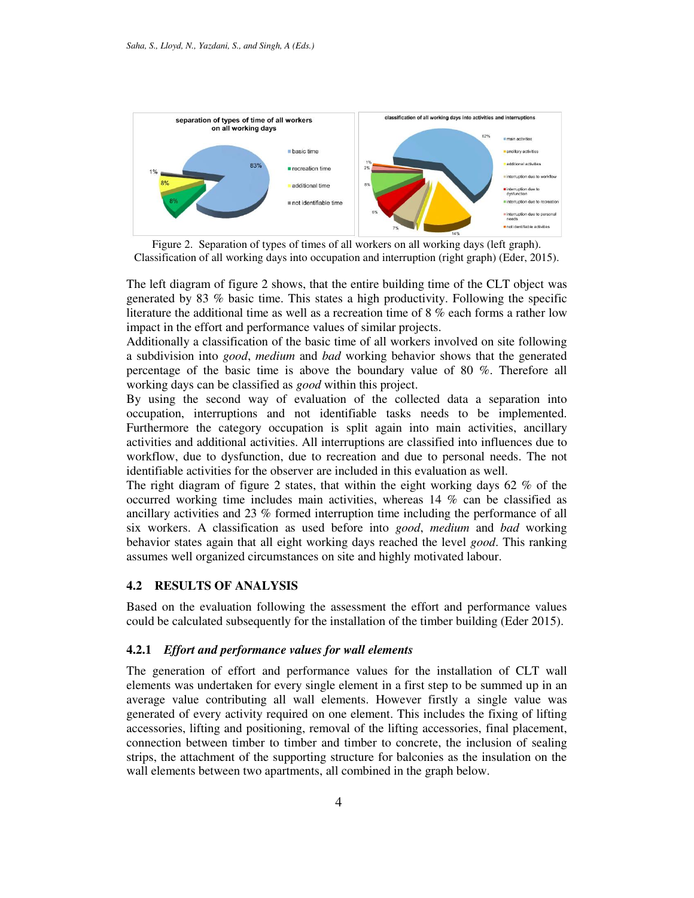

Figure 2. Separation of types of times of all workers on all working days (left graph). Classification of all working days into occupation and interruption (right graph) (Eder, 2015).

The left diagram of figure 2 shows, that the entire building time of the CLT object was generated by 83 % basic time. This states a high productivity. Following the specific literature the additional time as well as a recreation time of 8 % each forms a rather low impact in the effort and performance values of similar projects.

Additionally a classification of the basic time of all workers involved on site following a subdivision into *good*, *medium* and *bad* working behavior shows that the generated percentage of the basic time is above the boundary value of 80 %. Therefore all working days can be classified as *good* within this project.

By using the second way of evaluation of the collected data a separation into occupation, interruptions and not identifiable tasks needs to be implemented. Furthermore the category occupation is split again into main activities, ancillary activities and additional activities. All interruptions are classified into influences due to workflow, due to dysfunction, due to recreation and due to personal needs. The not identifiable activities for the observer are included in this evaluation as well.

The right diagram of figure 2 states, that within the eight working days 62 % of the occurred working time includes main activities, whereas 14 % can be classified as ancillary activities and 23 % formed interruption time including the performance of all six workers. A classification as used before into *good*, *medium* and *bad* working behavior states again that all eight working days reached the level *good*. This ranking assumes well organized circumstances on site and highly motivated labour.

# **4.2 RESULTS OF ANALYSIS**

Based on the evaluation following the assessment the effort and performance values could be calculated subsequently for the installation of the timber building (Eder 2015).

### **4.2.1** *Effort and performance values for wall elements*

The generation of effort and performance values for the installation of CLT wall elements was undertaken for every single element in a first step to be summed up in an average value contributing all wall elements. However firstly a single value was generated of every activity required on one element. This includes the fixing of lifting accessories, lifting and positioning, removal of the lifting accessories, final placement, connection between timber to timber and timber to concrete, the inclusion of sealing strips, the attachment of the supporting structure for balconies as the insulation on the wall elements between two apartments, all combined in the graph below.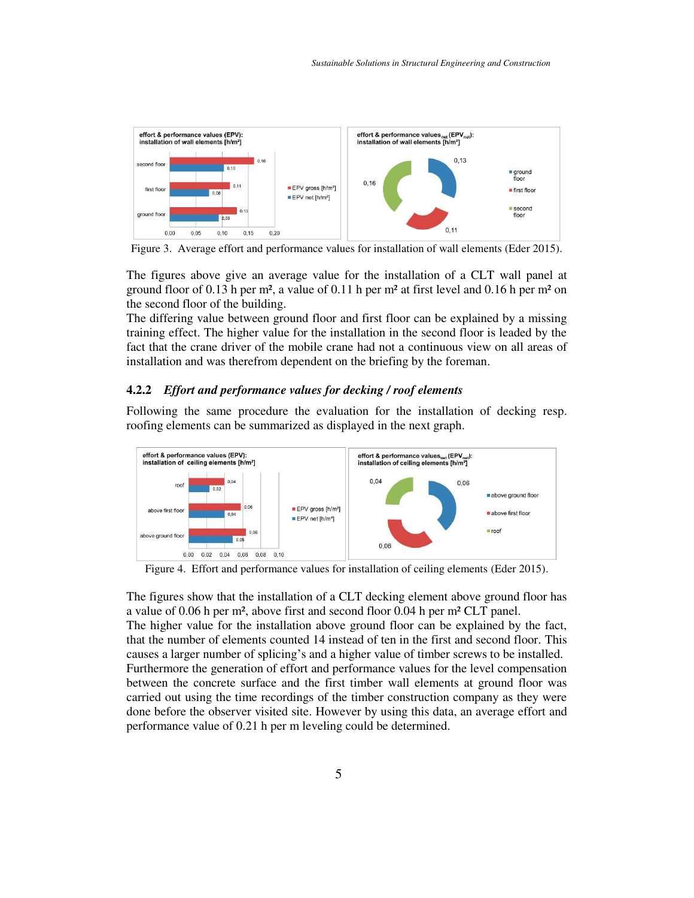

Figure 3. Average effort and performance values for installation of wall elements (Eder 2015).

The figures above give an average value for the installation of a CLT wall panel at ground floor of 0.13 h per m², a value of 0.11 h per m² at first level and 0.16 h per m² on the second floor of the building.

The differing value between ground floor and first floor can be explained by a missing training effect. The higher value for the installation in the second floor is leaded by the fact that the crane driver of the mobile crane had not a continuous view on all areas of installation and was therefrom dependent on the briefing by the foreman.

## **4.2.2** *Effort and performance values for decking / roof elements*

Following the same procedure the evaluation for the installation of decking resp. roofing elements can be summarized as displayed in the next graph.



Figure 4. Effort and performance values for installation of ceiling elements (Eder 2015).

The figures show that the installation of a CLT decking element above ground floor has a value of 0.06 h per m², above first and second floor 0.04 h per m² CLT panel.

The higher value for the installation above ground floor can be explained by the fact, that the number of elements counted 14 instead of ten in the first and second floor. This causes a larger number of splicing's and a higher value of timber screws to be installed. Furthermore the generation of effort and performance values for the level compensation between the concrete surface and the first timber wall elements at ground floor was carried out using the time recordings of the timber construction company as they were done before the observer visited site. However by using this data, an average effort and performance value of 0.21 h per m leveling could be determined.